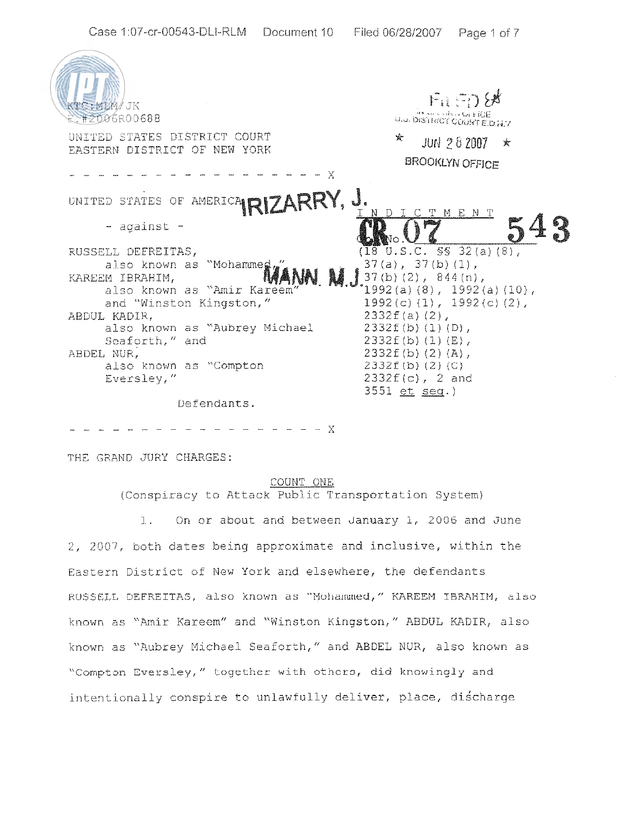

- - - - - - - - X

THE GRAND JURY CHARGES:

### COUNT OWE

(Conspiracy to Attack Public Transportation System)

1. On or about and between January 1, 2006 and June 2, 2007, both dates being approximate and inclusive, within xhe Eastern Districr of New York and elsewhere, the defendants RUSSELL DEFREITAS, also known as "Mohammed," KAREEM IBRAHIM, also known as "Amir Kareem" and "Winston Kingston," ABDUL KADIR, also known as "Aubrey Michael Seaforth," and ABDEL NUR, also known as "Compton Eversley," together with others, did knowingly and intentionally conspire to unlawfully deliver, place, discharge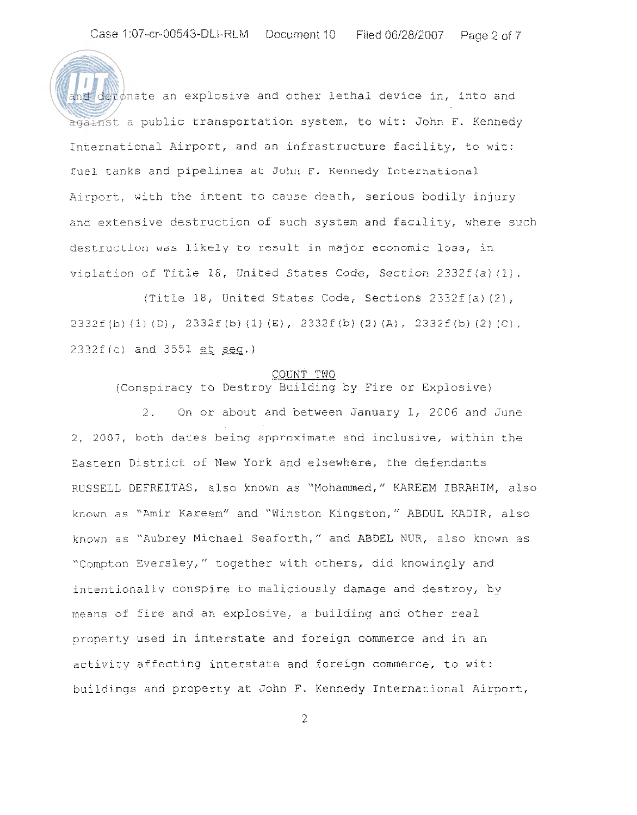and deronate an explosive and other lethal device in, into and against a public transportation system, to wit: John F. Kennedy International Airport, and an infrastructure facility, to wit: fuel tanks and pipelines at John F. Kennedy International Airport, with the intent to cause death, serious bodily injury and extensive destruction of such system and facility, where such destruction was likely to result in major economic loss, in violation of Title 18, United States Code, Section  $2332f(a)\langle 1\rangle$ .

(Title 18, United States Code, Sections 2332f (a) (2)' 2332f(b)(1)(D), 2332f(b)(1)(E), 2332f(b)(2)(A), 2332f(b)(2)(C), 2332f (c) and 3551 et seq.)

### COUNT TWO

(Conspiracy to Destroy Building by Fire or Explosive)

2. On or about and between January 1, 2006 and June 2, 2005, both dates being **apprnximate** and inclusive, within the Eastern District of New York and elsewhere, the defendants RUSSELL DEFREITAS, also known as "Mohammed," KAREEM IBRAHIM, also **known ns** "Arnir Kareem" and "Winston Kingston," AEDUL KADIR, also known as "Aubrey Michael Seaforth," and ABDEL NUR, also known as "Compton Eversley," together with others, did knowingly and intentionally conspire to maliciously damage and destroy, by means of fire and an explosive, a building and other real properry used in interstate and foreign commerce and in an activity affecting interstate and foreign commerce, to wit: buildings and property at John F. Kennedy International Airport,

2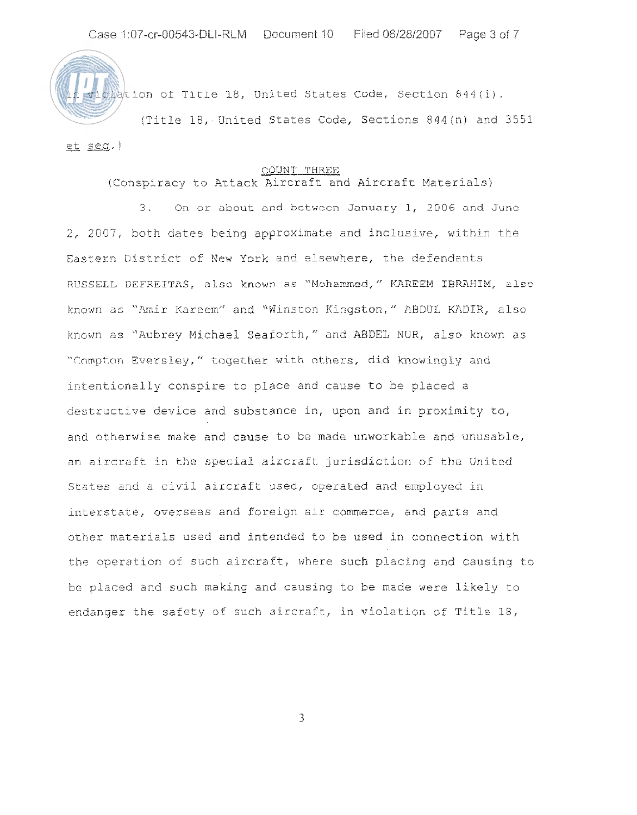

wiplation of Title 18, United States Code, Section 844(i).

(Title 18, United States Code, Sections 844(n) and 3551  $et$  seq.)

#### COUNT THREE

# (Conspiracy to Artack Aircraft and Aircraft Materials)

**'2** . On or about and bctwccn January 1, 2006 **and Junc**  2, 2007, both dates being approximate and inclusive, within the Eastern District of New York and elsewhere, the defendants RUSSELL DEFREITAS, also known as "Mohammed," KAREEM IBRAHIM, also known as "Amir Kareem" and "Winston Kingston," ABDUL KADIR, also known as "Aubrey Michael Seaforth," and ABDEL NUR, also known as "Compton Eversley," together with others, did knowingly and intentionally conspire to piace and cause to be placed a destructive device and substance in, upon and in proximity to, and otherwise make and cause to be made unworkable and unusable, an aircraft in the special aircraft jurisdiction of the United States and a civil aircraft used, operated and employed in interstate, overseas and foreign air commerce, and parts and orher materials used and intended to be used in connection with the operation of such aircraft, where sach placing and causing to be placed and such making and causing to be made were likely to endanger the safety of such aircraft, in violation of Title  $18$ ,

 $\overline{3}$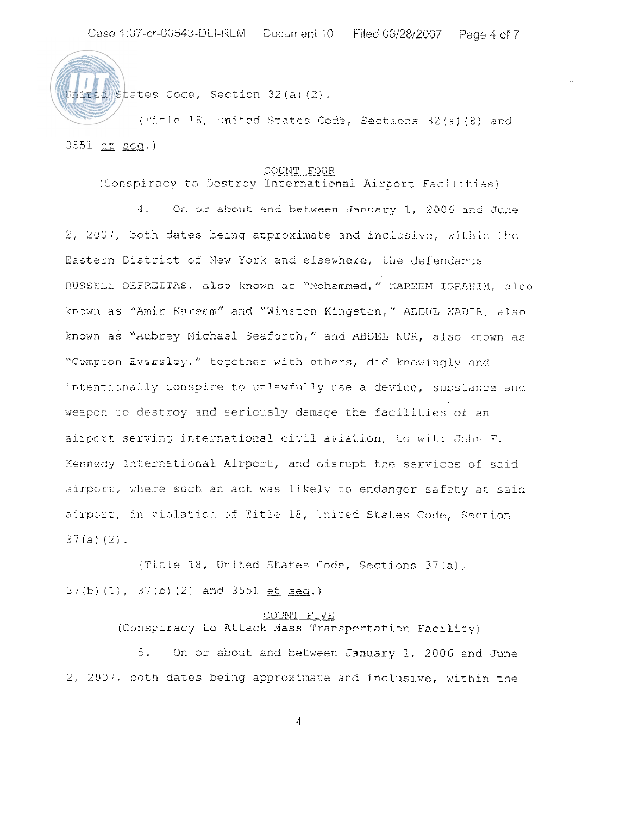ited States Code, Section 32 (a) (2).

*(Title 18, United States Code, Sections 32(a) (8) and* 3551 et seq.)

### COUNT FOUR

(Conspiracy to Destroy Inrernationai Airport Facilities)

**1.** On or about and between January 1, 2006 and June 2, 2007, both dates being approximate and inclusive, within the Eastern District of New York and elsewhere, the defendants RUSSELL DEFREITAS, also known as "Mohammed," KAREEM IBRAHIM, also known as "Amir Kareem" and "Winston Kingston," ABDUL KADIR, also known as "Aubrey Micnael Seaforth," and ABDEL NUR, also known as "Compton Eversley," together with others, did knowingly and intentionally conspire to uniawfuliy use a device, substance and weapon to destroy and seriously damage the facilities of an airport serving international civil aviation, to wit: John F. Kennedy International Airport, and disrupt the services of said airport, where such an act was likely to endanger safety at said airporc, in violation of Title 18, United States Code, Section  $37 (a) (2)$ .

(Tirle 18, United States Code, Sections 37(a), 37(b) (1), 37(b) (2) and 3551 <u>et seq</u>.)

## COUNT FIVE. (Conspiracy to Attack Mass Transportation Facility)

*3.* On or about and between January I, 2006 and June 2, 2007, both dates being approximate and inclusive, within the

4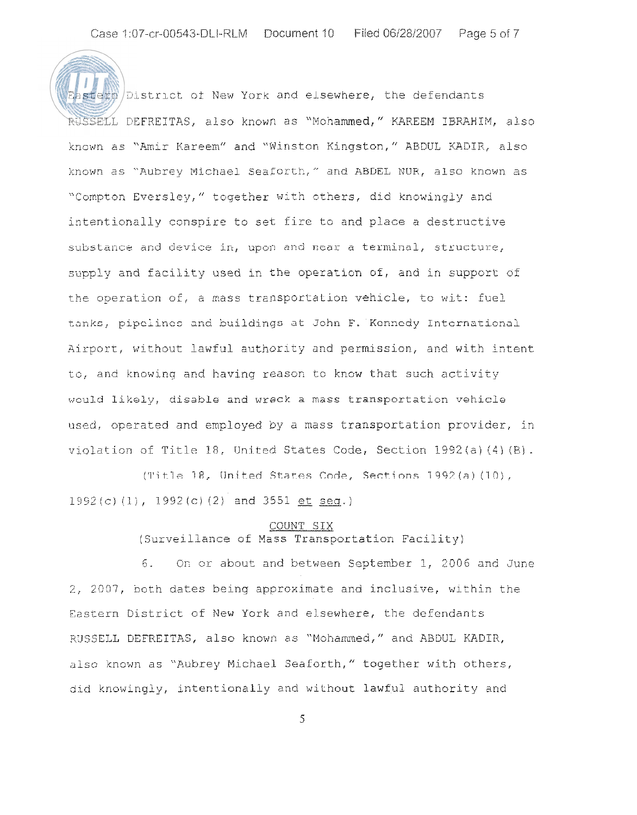$\frac{1}{\sqrt{2}}$  as  $\frac{1}{\sqrt{2}}$  and elsewhere, the defendants ?,USSELL DEFREITAS, also known as "Mohammed," KAREEM IBRAHZM, also known as "Amir Kareem" and "Winston Kingston," ABDUL KADIR, also known as "Aubrey Michael Seaforth," and ABDEL NUR, also known as "Compton Eversley," together with others, did knowingly and intentionally conspire to set fire to and place a destructive substance and device in, upon and near a terminal, structure, supply and facility used in the operation of, and in support of the operation of, a mass transportation vehicle, to wit: fuel tanks, pipclines and buildings at John F. Kennedy International Airport, without lawful authority and permission, and with intent to, and knowing and having reason to know that such activity would likely, disable and wreck a mass transportation vehicle used, operated and employed by a mass transportation provider, in violation of Title 18, United States Code, Section 1992(a) (4) (B).

(Title 18, United States Code, Sections 1992(a) (10),  $1992(c)$  (1),  $1992(c)$  (2) and 3551 et seq.)

### COUNT SIX

(Surveillance of Mass Transportation Facility)

6. On or about and between September 1, 2005 and June 2, 2007, both dates being approximate and inclusive, within the Eastern District of New York and elsewhere, the defendants RUSSELL DEFREITAS, also known as "Mohammed," and ABDUL KADIR, also known as "Aubrey Michael Seaforth," together with others, did knowingly, intentionally and without lawful authoricy and

**5**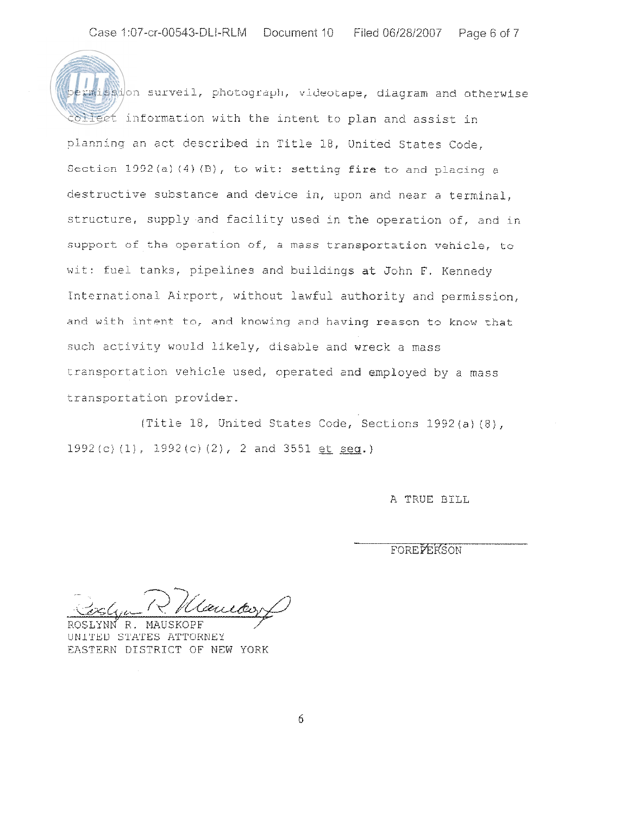$m$ ission surveil, photograph, videotape, diagram and otherwise collect information with the intent to plan and assist in planning an act described in Title 18, United States Code, Section  $1992(a)$  (4) (B), to wit: setting fire to and placing a destructive substance and device in, upon and near a terminal, structure, supply and facility used in the operation of, and in support of cha operation of, a mass transportation vehicie, to wit: fuel tanks, pipelines and buildings at John F. Kennedy International Airport, without lawful authority and permission, ,and **with intent to, and knowing and** having reason to know zhat such activity would likely, disable and wreck a mass transportation vehicle used, operated and employed by a mass transportation provider.

(Title 18, United States Code, Sections 1392(a}(Bj,  $1992(c)$  (1),  $1992(c)$  (2), 2 and 3551 et seq.)

A TRUE RILL

FOREPERSON

.-

R. MAUSKOPF UN1TED STATES ATTORNEY EASTERN DISTRICT OF MEW YORK